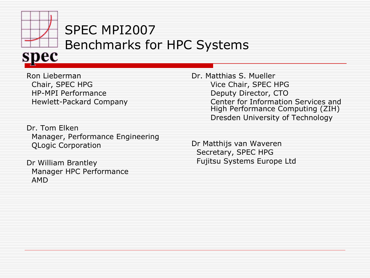

#### SPEC MPI2007 Benchmarks for HPC Systems

Ron Lieberman Chair, SPEC HPG HP-MPI Performance Hewlett-Packard Company

Dr. Tom Elken Manager, Performance Engineering QLogic Corporation

Dr William Brantley Manager HPC Performance AMD

Dr. Matthias S. Mueller Vice Chair, SPEC HPG Deputy Director, CTO Center for Information Services and High Performance Computing (ZIH) Dresden University of Technology

Dr Matthijs van Waveren Secretary, SPEC HPG Fujitsu Systems Europe Ltd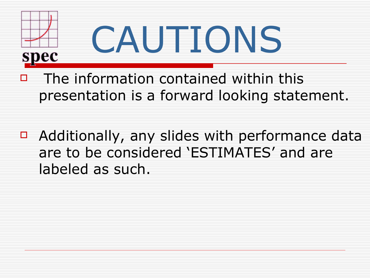

- The information contained within this presentation is a forward looking statement.
- $\Box$  Additionally, any slides with performance data are to be considered 'ESTIMATES' and are labeled as such.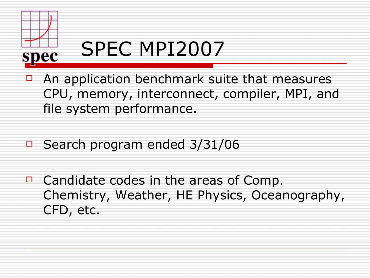

- $\Box$  An application benchmark suite that measures CPU, memory, interconnect, compiler, MPI, and file system performance.
- □ Search program ended 3/31/06
- $\Box$  Candidate codes in the areas of Comp. Chemistry, Weather, HE Physics, Oceanography, CFD, etc.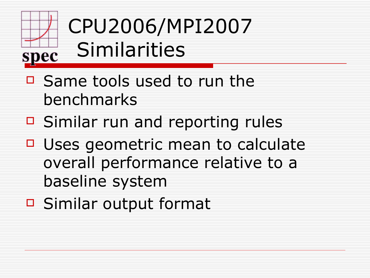#### CPU2006/MPI2007 Similarities spec

- □ Same tools used to run the benchmarks
- $\Box$  Similar run and reporting rules
- $\Box$  Uses geometric mean to calculate overall performance relative to a baseline system
- □ Similar output format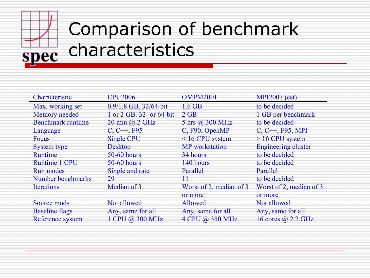# Comparison of benchmark characteristics

| Characteristic           | <b>CPU2006</b>                            | <b>OMPM2001</b>         | <b>MPI2007</b> (est)       |  |
|--------------------------|-------------------------------------------|-------------------------|----------------------------|--|
| Max. working set         | $0.9/1.8$ GB, $32/64$ -bit                | $1.6$ GB                | to be decided              |  |
| <b>Memory</b> needed     | 1 or 2 GB. 32- or 64-bit                  | $2$ GB                  | 1 GB per benchmark         |  |
| <b>Benchmark runtime</b> | $20 \text{ min}$ $\omega$ $2 \text{ GHz}$ | 5 hrs @ 300 MHz         | to be decided              |  |
| Language                 | $C, C++, F95$                             | C, F90, OpenMP          | $C, C++, F95, MPI$         |  |
| Focus                    | <b>Single CPU</b>                         | $< 16$ CPU system       | $>16$ CPU system           |  |
| <b>System type</b>       | <b>Desktop</b>                            | <b>MP</b> workstation   | <b>Engineering cluster</b> |  |
| <b>Runtime</b>           | $50-60$ hours                             | 34 hours                | to be decided              |  |
| <b>Runtime 1 CPU</b>     | $50-60$ hours                             | 140 hours               | to be decided              |  |
| <b>Run modes</b>         | Single and rate                           | Parallel                | Parallel                   |  |
| Number benchmarks        | 29                                        | 11                      | to be decided              |  |
| <b>Iterations</b>        | Median of 3                               | Worst of 2, median of 3 | Worst of 2, median of 3    |  |
|                          |                                           | or more                 | or more                    |  |
| Source mods              | Not allowed                               | <b>Allowed</b>          | Not allowed                |  |
| <b>Baseline flags</b>    | Any, same for all                         | Any, same for all       | Any, same for all          |  |
| Reference system         | 1 CPU @ 300 MHz                           | 4 CPU @ 350 MHz         | 16 cores @ 2.2 GHz         |  |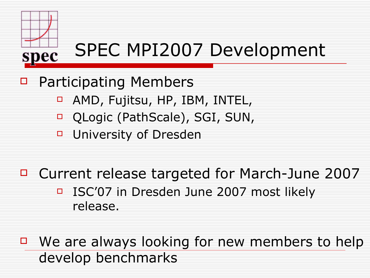

- □ Participating Members
	- □ AMD, Fujitsu, HP, IBM, INTEL,
	- □ QLogic (PathScale), SGI, SUN,
	- **D** University of Dresden
- □ Current release targeted for March-June 2007 □ ISC'07 in Dresden June 2007 most likely release.
- □ We are always looking for new members to help develop benchmarks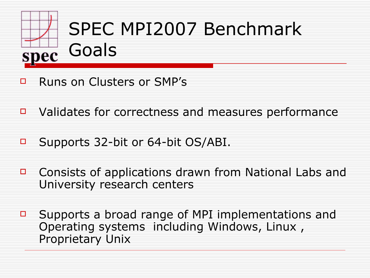

- **E** Runs on Clusters or SMP's
- $\Box$  Validates for correctness and measures performance
- □ Supports 32-bit or 64-bit OS/ABI.
- □ Consists of applications drawn from National Labs and University research centers
- $\Box$  Supports a broad range of MPI implementations and Operating systems including Windows, Linux , Proprietary Unix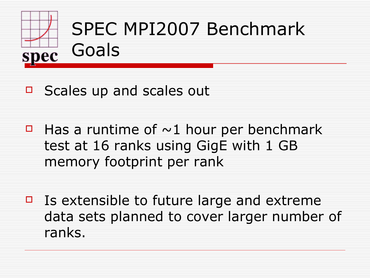

# SPEC MPI2007 Benchmark

- $\Box$  Scales up and scales out
- $\Box$  Has a runtime of  $\sim$ 1 hour per benchmark test at 16 ranks using GigE with 1 GB memory footprint per rank
- $\Box$  Is extensible to future large and extreme data sets planned to cover larger number of ranks.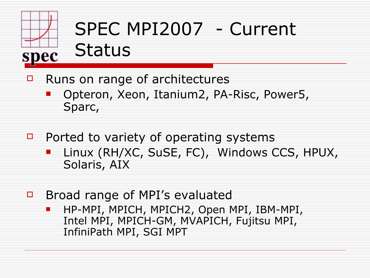

### SPEC MPI2007 - Current Status

- $\Box$  Runs on range of architectures
	- Opteron, Xeon, Itanium2, PA-Risc, Power5, Sparc,
- $\Box$  Ported to variety of operating systems
	- Linux (RH/XC, SuSE, FC), Windows CCS, HPUX, Solaris, AIX
- **Broad range of MPI's evaluated** 
	- **HP-MPI, MPICH, MPICH2, Open MPI, IBM-MPI,** Intel MPI, MPICH-GM, MVAPICH, Fujitsu MPI, InfiniPath MPI, SGI MPT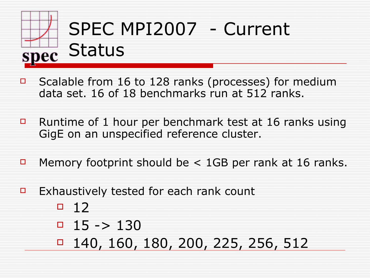# SPEC MPI2007 - Current pec Status

- $\Box$  Scalable from 16 to 128 ranks (processes) for medium data set. 16 of 18 benchmarks run at 512 ranks.
- **E** Runtime of 1 hour per benchmark test at 16 ranks using GigE on an unspecified reference cluster.
- Memory footprint should be  $<$  1GB per rank at 16 ranks.
- Exhaustively tested for each rank count
	- $-12$
	- $\Box$  15 -> 130
	- 140, 160, 180, 200, 225, 256, 512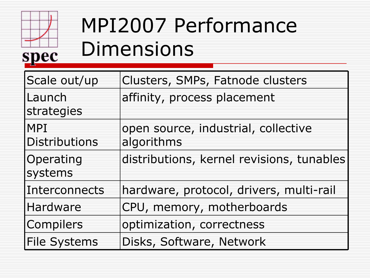

# MPI2007 Performance Dimensions

| Scale out/up                       | Clusters, SMPs, Fatnode clusters                  |
|------------------------------------|---------------------------------------------------|
| Launch<br>strategies               | affinity, process placement                       |
| <b>MPI</b><br><b>Distributions</b> | open source, industrial, collective<br>algorithms |
| Operating<br>systems               | distributions, kernel revisions, tunables         |
| Interconnects                      | hardware, protocol, drivers, multi-rail           |
| Hardware                           | CPU, memory, motherboards                         |
| Compilers                          | optimization, correctness                         |
| <b>File Systems</b>                | Disks, Software, Network                          |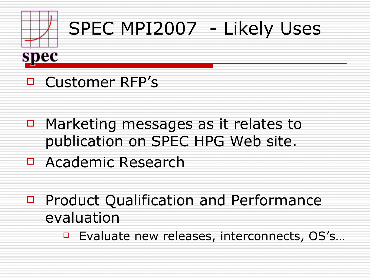

### SPEC MPI2007 - Likely Uses



#### Customer RFP's

- □ Marketing messages as it relates to publication on SPEC HPG Web site.
- Academic Research
- □ Product Qualification and Performance evaluation
	- □ Evaluate new releases, interconnects, OS's...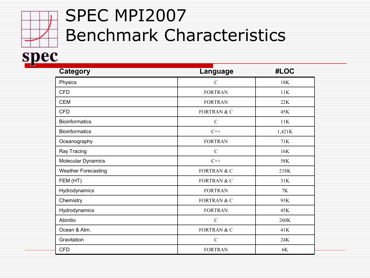#### SPEC MPI2007 Benchmark Characteristics

#### spec

| Category                   | Language               | #LOC   |
|----------------------------|------------------------|--------|
| Physics                    | $\mathcal{C}$          | 18K    |
| <b>CFD</b>                 | <b>FORTRAN</b>         | 11K    |
| <b>CEM</b>                 | <b>FORTRAN</b>         | 22K    |
| <b>CFD</b>                 | FORTRAN & C            | 45K    |
| <b>Bioinformatics</b>      | $\mathbf C$            | 11K    |
| <b>Bioinformatics</b>      | $C++$                  | 1,421K |
| Oceanography               | <b>FORTRAN</b>         | 71K    |
| Ray Tracing                | $\mathcal{C}$          | 16K    |
| Molecular Dynamics         | $C++$                  | 58K    |
| <b>Weather Forecasting</b> | <b>FORTRAN &amp; C</b> | 218K   |
| FEM (HT)                   | <b>FORTRAN &amp; C</b> | 31K    |
| Hydrodynamics              | <b>FORTRAN</b>         | 7K     |
| Chemistry                  | <b>FORTRAN &amp; C</b> | 93K    |
| Hydrodynamics              | <b>FORTRAN</b>         | 45K    |
| Abinitio                   | $\mathbf C$            | 260K   |
| Ocean & Atm.               | FORTRAN & C            | 41K    |
| Gravitation                | $\mathbf C$            | 24K    |
| <b>CFD</b>                 | <b>FORTRAN</b>         | 6K     |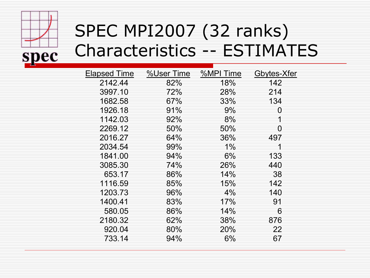

#### SPEC MPI2007 (32 ranks) Characteristics -- ESTIMATES

| Elapsed Time | %User Time | %MPI Time | Gbytes-Xfer |
|--------------|------------|-----------|-------------|
| 2142.44      | 82%        | 18%       | 142         |
| 3997.10      | 72%        | 28%       | 214         |
| 1682.58      | 67%        | 33%       | 134         |
| 1926.18      | 91%        | $9\%$     | 0           |
| 1142.03      | 92%        | 8%        | 1           |
| 2269.12      | 50%        | 50%       | 0           |
| 2016.27      | 64%        | 36%       | 497         |
| 2034.54      | 99%        | $1\%$     |             |
| 1841.00      | 94%        | 6%        | 133         |
| 3085.30      | 74%        | 26%       | 440         |
| 653.17       | 86%        | 14%       | 38          |
| 1116.59      | 85%        | 15%       | 142         |
| 1203.73      | 96%        | 4%        | 140         |
| 1400.41      | 83%        | 17%       | 91          |
| 580.05       | 86%        | 14%       | 6           |
| 2180.32      | 62%        | 38%       | 876         |
| 920.04       | 80%        | 20%       | 22          |
| 733.14       | 94%        | 6%        | 67          |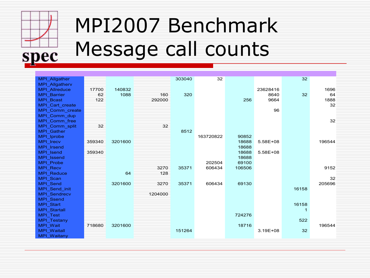

## MPI2007 Benchmark Message call counts

| MPI Allgather         |        |         |         | 303040 | 32        |        |          | 32    |        |
|-----------------------|--------|---------|---------|--------|-----------|--------|----------|-------|--------|
| <b>MPI Allgatherv</b> |        |         |         |        |           |        |          |       |        |
| MPI_Allreduce         | 17700  | 140832  |         |        |           |        | 23628416 |       | 1696   |
| <b>MPI Barrier</b>    | 62     | 1088    | 160     | 320    |           |        | 8640     | 32    | 64     |
| <b>MPI Bcast</b>      | 122    |         | 292000  |        |           | 256    | 9664     |       | 1888   |
| MPI Cart create       |        |         |         |        |           |        |          |       | 32     |
| MPI_Comm_create       |        |         |         |        |           |        | 96       |       |        |
| MPI Comm dup          |        |         |         |        |           |        |          |       |        |
| MPI Comm free         |        |         |         |        |           |        |          |       | 32     |
| MPI Comm split        | 32     |         | 32      |        |           |        |          |       |        |
| MPI Gather            |        |         |         | 8512   |           |        |          |       |        |
| MPI Iprobe            |        |         |         |        | 163720822 | 90852  |          |       |        |
| <b>MPI</b> Irecv      | 359340 | 3201600 |         |        |           | 18688  | 5.58E+08 |       | 196544 |
| <b>MPI</b> Irsend     |        |         |         |        |           | 18688  |          |       |        |
| MPI Isend             | 359340 |         |         |        |           | 18688  | 5.58E+08 |       |        |
| MPI Issend            |        |         |         |        |           | 18688  |          |       |        |
| <b>MPI Probe</b>      |        |         |         |        | 202504    | 69100  |          |       |        |
| <b>MPI Recv</b>       |        |         | 3270    | 35371  | 606434    | 106506 |          |       | 9152   |
| <b>MPI Reduce</b>     |        | 64      | 128     |        |           |        |          |       |        |
| MPI Scan              |        |         |         |        |           |        |          |       | 32     |
| <b>MPI Send</b>       |        | 3201600 | 3270    | 35371  | 606434    | 69130  |          |       | 205696 |
| MPI_Send_init         |        |         |         |        |           |        |          | 16158 |        |
| <b>MPI Sendrecv</b>   |        |         | 1204000 |        |           |        |          |       |        |
| <b>MPI Ssend</b>      |        |         |         |        |           |        |          |       |        |
| <b>MPI Start</b>      |        |         |         |        |           |        |          | 16158 |        |
| MPI_Startall          |        |         |         |        |           |        |          |       |        |
| <b>MPI Test</b>       |        |         |         |        |           | 724276 |          |       |        |
| <b>MPI Testany</b>    |        |         |         |        |           |        |          | 522   |        |
| MPI Wait              | 718680 | 3201600 |         |        |           | 18716  |          |       | 196544 |
| <b>MPI Waitall</b>    |        |         |         | 151264 |           |        | 3.19E+08 | 32    |        |
| <b>MPI Waitany</b>    |        |         |         |        |           |        |          |       |        |
|                       |        |         |         |        |           |        |          |       |        |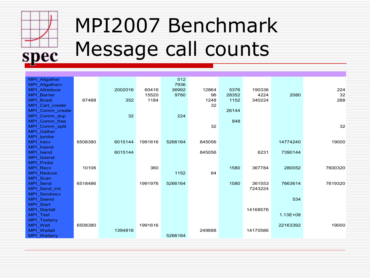

# MPI2007 Benchmark Message call counts

| MPI Allgather                       |         |         |         | 512     |        |       |          |              |         |
|-------------------------------------|---------|---------|---------|---------|--------|-------|----------|--------------|---------|
| <b>MPI Allgatherv</b>               |         |         |         | 7936    |        |       |          |              |         |
| <b>MPI Allreduce</b>                |         | 2002016 | 60416   | 36992   | 12864  | 5376  | 190336   |              | 224     |
| <b>MPI Barrier</b>                  |         |         | 15520   | 9760    | 96     | 28352 | 4224     | 2080         | 32      |
| <b>MPI Bcast</b>                    | 67488   | 352     | 1184    |         | 1248   | 1152  | 340224   |              | 288     |
| MPI Cart create                     |         |         |         |         | 32     |       |          |              |         |
| MPI_Comm_create                     |         |         |         |         |        | 26144 |          |              |         |
| MPI Comm dup                        |         | 32      |         | 224     |        |       |          |              |         |
| MPI Comm free                       |         |         |         |         | 32     | 848   |          |              | 32      |
| MPI Comm split<br><b>MPI Gather</b> |         |         |         |         |        |       |          |              |         |
| MPI Iprobe                          |         |         |         |         |        |       |          |              |         |
| MPI_Irecv                           | 6508380 | 6015144 | 1991616 | 5266164 | 845056 |       |          | 14774240     | 19000   |
| <b>MPI</b> Irsend                   |         |         |         |         |        |       |          |              |         |
| MPI Isend                           |         | 6015144 |         |         | 845056 |       | 6231     | 7390144      |         |
| MPI Issend                          |         |         |         |         |        |       |          |              |         |
| <b>MPI Probe</b>                    |         |         |         |         |        |       |          |              |         |
| <b>MPI Recv</b>                     | 10106   |         | 360     |         |        | 1580  | 367784   | 280052       | 7600320 |
| <b>MPI Reduce</b>                   |         |         |         | 1152    | 64     |       |          |              |         |
| MPI Scan                            |         |         |         |         |        |       |          |              |         |
| <b>MPI Send</b>                     | 6518486 |         | 1991976 | 5266164 |        | 1580  | 361553   | 7663614      | 7619320 |
| MPI Send init                       |         |         |         |         |        |       | 7243224  |              |         |
| MPI_Sendrecv                        |         |         |         |         |        |       |          |              |         |
| <b>MPI Ssend</b>                    |         |         |         |         |        |       |          | 534          |         |
| <b>MPI Start</b>                    |         |         |         |         |        |       |          |              |         |
| MPI_Startall                        |         |         |         |         |        |       | 14168576 |              |         |
| <b>MPI Test</b>                     |         |         |         |         |        |       |          | $1.13E + 08$ |         |
| <b>MPI Testany</b>                  |         |         |         |         |        |       |          |              |         |
| <b>MPI Wait</b>                     | 6508380 |         | 1991616 |         |        |       |          | 22163392     | 19000   |
| MPI_Waitall                         |         | 1394816 |         |         | 249888 |       | 14170586 |              |         |
| <b>MPI Waitany</b>                  |         |         |         | 5266164 |        |       |          |              |         |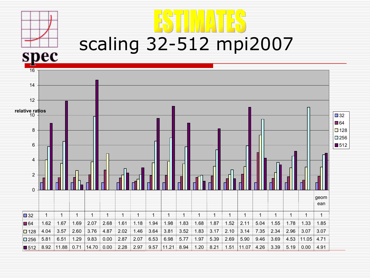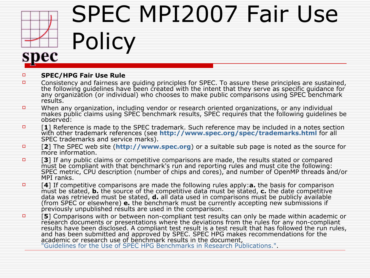

# SPEC MPI2007 Fair Use

#### **SPEC/HPG Fair Use Rule**

Policy

- Consistency and fairness are guiding principles for SPEC. To assure these principles are sustained, the following guidelines have been created with the intent that they serve as specific guidance for any organization (or individual) who chooses to make public comparisons using SPEC benchmark results.
- When any organization, including vendor or research oriented organizations, or any individual makes public claims using SPEC benchmark results, SPEC requires that the following guidelines be observed:
- [**1**] Reference is made to the SPEC trademark. Such reference may be included in a notes section with other trademark references (see **<http://www.spec.org/spec/trademarks.html>** for all SPEC trademarks and service marks).
- [**2**] The SPEC web site (**[http://www.spec.org](http://pro.spec.org/)**) or a suitable sub page is noted as the source for more information.
- **<sup>D</sup>** [3] If any public claims or competitive comparisons are made, the results stated or compared must be compliant with that benchmark's run and reporting rules and must cite the following: SPEC metric, CPU description (number of chips and cores), and number of OpenMP threads and/or MPI ranks.
- [**4**] If competitive comparisons are made the following rules apply:**a.** the basis for comparison must be stated, **b.** the source of the competitive data must be stated, **c.** the date competitive data was retrieved must be stated, **d.** all data used in comparisons must be publicly available (from SPEC or elsewhere) **e.** the benchmark must be currently accepting new submissions if previously unpublished results are used in the comparison.
- **F [5**] Comparisons with or between non-compliant test results can only be made within academic or research documents or presentations where the deviations from the rules for any non-compliant results have been disclosed. A compliant test result is a test result that has followed the run rules, and has been submitted and approved by SPEC. SPEC HPG makes recommendations for the academic or research use of benchmark results in the document, ["Guidelines for the Use of SPEC HPG Benchmarks in Research Publications.".](http://pro.spec.org/hpg/academic_rules.html)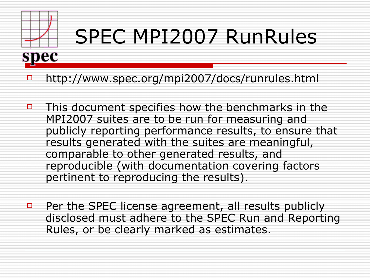

# SPEC MPI2007 RunRules

- □ http://www.spec.org/mpi2007/docs/runrules.html
- $\Box$  This document specifies how the benchmarks in the MPI2007 suites are to be run for measuring and publicly reporting performance results, to ensure that results generated with the suites are meaningful, comparable to other generated results, and reproducible (with documentation covering factors pertinent to reproducing the results).
- $\Box$  Per the SPEC license agreement, all results publicly disclosed must adhere to the SPEC Run and Reporting Rules, or be clearly marked as estimates.